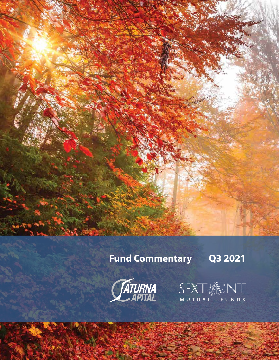# **Fund Commentary Q3 2021**



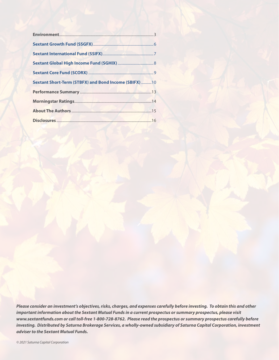| <b>Sextant Short-Term (STBFX) and Bond Income (SBIFX) 10</b> |  |
|--------------------------------------------------------------|--|
|                                                              |  |
|                                                              |  |
|                                                              |  |
|                                                              |  |

*Please consider an investment's objectives, risks, charges, and expenses carefully before investing. To obtain this and other important information about the Sextant Mutual Funds in a current prospectus or summary prospectus, please visit www.sextantfunds.com or call toll-free 1-800-728-8762. Please read the prospectus or summary prospectus carefully before investing. Distributed by Saturna Brokerage Services, a wholly-owned subsidiary of Saturna Capital Corporation, investment adviser to the Sextant Mutual Funds.*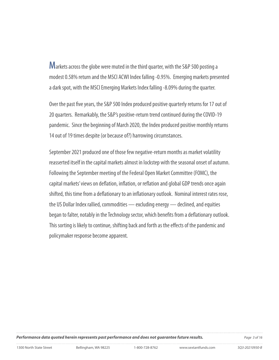**M**arkets across the globe were muted in the third quarter, with the S&P 500 posting a modest 0.58% return and the MSCI ACWI Index falling -0.95%. Emerging markets presented a dark spot, with the MSCI Emerging Markets Index falling -8.09% during the quarter.

Over the past five years, the S&P 500 Index produced positive quarterly returns for 17 out of 20 quarters. Remarkably, the S&P's positive-return trend continued during the COVID-19 pandemic. Since the beginning of March 2020, the Index produced positive monthly returns 14 out of 19 times despite (or because of?) harrowing circumstances.

September 2021 produced one of those few negative-return months as market volatility reasserted itself in the capital markets almost in lockstep with the seasonal onset of autumn. Following the September meeting of the Federal Open Market Committee (FOMC), the capital markets' views on deflation, inflation, or reflation and global GDP trends once again shifted, this time from a deflationary to an inflationary outlook. Nominal interest rates rose, the US Dollar Index rallied, commodities — excluding energy — declined, and equities began to falter, notably in the Technology sector, which benefits from a deflationary outlook. This sorting is likely to continue, shifting back and forth as the effects of the pandemic and policymaker response become apparent.

*Performance data quoted herein represents past performance and does not guarantee future results. Page 3 of 16*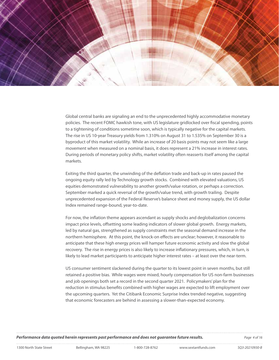

Global central banks are signaling an end to the unprecedented highly accommodative monetary policies. The recent FOMC hawkish tone, with US legislature gridlocked over fiscal spending, points to a tightening of conditions sometime soon, which is typically negative for the capital markets. The rise in US 10-year Treasury yields from 1.310% on August 31 to 1.535% on September 30 is a byproduct of this market volatility. While an increase of 20 basis points may not seem like a large movement when measured on a nominal basis, it does represent a 21% increase in interest rates. During periods of monetary policy shifts, market volatility often reasserts itself among the capital markets.

Exiting the third quarter, the unwinding of the deflation trade and back-up in rates paused the ongoing equity rally led by Technology growth stocks. Combined with elevated valuations, US equities demonstrated vulnerability to another growth/value rotation, or perhaps a correction. September marked a quick reversal of the growth/value trend, with growth trailing. Despite unprecedented expansion of the Federal Reserve's balance sheet and money supply, the US dollar Index remained range-bound, year-to-date.

For now, the inflation theme appears ascendant as supply shocks and deglobalization concerns impact price levels, offsetting some leading indicators of slower global growth. Energy markets, led by natural gas, strengthened as supply constraints met the seasonal demand increase in the northern hemisphere. At this point, the knock-on effects are unclear; however, it reasonable to anticipate that these high energy prices will hamper future economic activity and slow the global recovery. The rise in energy prices is also likely to increase inflationary pressures, which, in turn, is likely to lead market participants to anticipate higher interest rates – at least over the near-term.

US consumer sentiment slackened during the quarter to its lowest point in seven months, but still retained a positive bias. While wages were mixed, hourly compensation for US non-farm businesses and job openings both set a record in the second quarter 2021. Policymakers' plan for the reduction in stimulus benefits combined with higher wages are expected to lift employment over the upcoming quarters. Yet the Citibank Economic Surprise Index trended negative, suggesting that economic forecasters are behind in assessing a slower-than-expected economy.

*Performance data quoted herein represents past performance and does not guarantee future results. Page 4 of 16*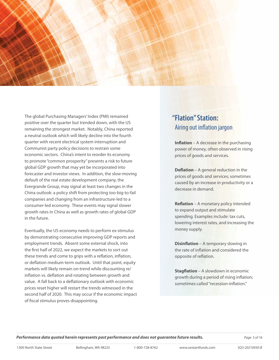

The global Purchasing Managers' Index (PMI) remained positive over the quarter but trended down, with the US remaining the strongest market. Notably, China reported a neutral outlook which will likely decline into the fourth quarter with recent electrical system interruption and Communist party policy decisions to restrain some economic sectors. China's intent to reorder its economy to promote "common prosperity" presents a risk to future global GDP growth that may yet be incorporated into forecaster and investor views. In addition, the slow-moving default of the real estate development company, the Evergrande Group, may signal at least two changes in the China outlook: a policy shift from protecting too-big-to-fail companies and changing from an infrastructure-led to a consumer-led economy. These events may signal slower growth rates in China as well as growth rates of global GDP in the future.

Eventually, the US economy needs to perform ex-stimulus by demonstrating consecutive improving GDP reports and employment trends. Absent some external shock, into the first half of 2022, we expect the markets to sort out these trends and come to grips with a reflation, inflation, or deflation medium-term outlook. Until that point, equity markets will likely remain on-trend while discounting re/ inflation vs. deflation and rotating between growth and value. A fall back to a deflationary outlook with economic prices reset higher will restart the trends witnessed in the second half of 2020. This may occur if the economic impact of fiscal stimulus proves disappointing.

# **"Flation" Station:**  Airing out inflation jargon

**Inflation** – A decrease in the purchasing power of money, often observed in rising prices of goods and services.

**Deflation** – A general reduction in the prices of goods and services; sometimes caused by an increase in productivity or a decrease in demand.

**Reflation** – A monetary policy intended to expand output and stimulate spending. Examples include: tax cuts, lowering interest rates, and increasing the money supply.

**Disinflation** – A temporary slowing in the rate of inflation and considered the opposite of reflation.

**Stagflation** – A slowdown in economic growth during a period of rising inflation; sometimes called "recession-inflation."

**Performance data quoted herein represents past performance and does not guarantee future results.** Page 5 of 16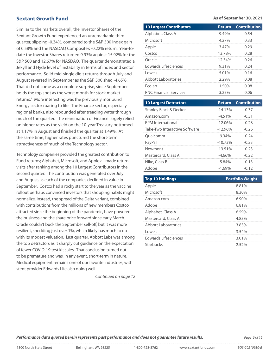# **Sextant Growth Fund**

Similar to the markets overall, the Investor Shares of the Sextant Growth Fund experienced an unremarkable third quarter, slipping -0.34%, compared to the S&P 500 Index gain of 0.58% and the NASDAQ Composite's -0.22% return. Year-todate the Investor Shares returned 9.93% against 15.92% for the S&P 500 and 12.67% for NASDAQ. The quarter demonstrated a Jekyll and Hyde level of instability in terms of index and sector performance. Solid mid-single digit returns through July and August reversed in September as the S&P 500 shed -4.65%. That did not come as a complete surprise, since September holds the top spot as the worst month for stock market returns.<sup>1</sup> More interesting was the previously moribund Energy sector roaring to life. The Finance sector, especially regional banks, also rebounded after treading water through much of the quarter. The reanimation of Finance largely relied on higher rates as the yield on the 10-year Treasury bottomed at 1.17% in August and finished the quarter at 1.49%. At the same time, higher rates punctured the short-term attractiveness of much of the Technology sector.

Technology companies provided the greatest contribution to Fund returns; Alphabet, Microsoft, and Apple all made return visits after ranking among the 10 Largest Contributors in the second quarter. The contribution was generated over July and August, as each of the companies declined in value in September. Costco had a rocky start to the year as the vaccine rollout perhaps convinced investors that shopping habits might normalize. Instead, the spread of the Delta variant, combined with contributions from the millions of new members Costco attracted since the beginning of the pandemic, have powered the business and the share price forward since early March. Oracle couldn't buck the September sell-off, but it was more resilient, shedding just over 1%, which likely has much to do with its modest valuation. Last quarter, Abbott Labs was among the top detractors as it sharply cut guidance on the expectation of fewer COVID-19 test kit sales. That conclusion turned out to be premature and was, in any event, short-term in nature. Medical equipment remains one of our favorite industries, with stent provider Edwards Life also doing well.

*Continued on page 12*

#### **As of September 30, 2021**

| <b>10 Largest Contributors</b>    | <b>Return</b> | <b>Contribution</b> |
|-----------------------------------|---------------|---------------------|
| Alphabet, Class A                 | 9.49%         | 0.54                |
| Microsoft                         | 4.27%         | 0.33                |
| Apple                             | 3.47%         | 0.29                |
| Costco                            | 13.78%        | 0.28                |
| Oracle                            | 12.34%        | 0.26                |
| <b>Edwards Lifesciences</b>       | 9.31%         | 0.24                |
| Lowe's                            | 5.01%         | 0.16                |
| <b>Abbott Laboratories</b>        | 2.29%         | 0.08                |
| Ecolab                            | 1.50%         | 0.08                |
| <b>PNC Financial Services</b>     | 3.23%         | 0.06                |
|                                   |               |                     |
|                                   |               |                     |
| <b>10 Largest Detractors</b>      | <b>Return</b> | <b>Contribution</b> |
| <b>Stanley Black &amp; Decker</b> | $-14.13%$     | $-0.37$             |
| Amazon.com                        | $-4.51%$      | $-0.31$             |
| <b>RPM</b> International          | $-12.06%$     | $-0.28$             |
| Take-Two Interactive Software     | $-12.96%$     | $-0.26$             |
| Qualcomm                          | $-9.34%$      | $-0.24$             |
| PayPal                            | $-10.73%$     | $-0.23$             |
| Newmont                           | $-13.51%$     | $-0.23$             |
| Mastercard, Class A               | $-4.66%$      | $-0.22$             |
| Nike, Class B                     | $-5.84%$      | $-0.13$             |
| Adobe                             | $-1.69%$      | $-0.12$             |

| <b>Top 10 Holdings</b> | <b>Portfolio Weight</b> |
|------------------------|-------------------------|
| Apple                  | 8.81%                   |
| Microsoft              | 8.30%                   |
| Amazon.com             | $6.90\%$                |
| Adobe                  | 6.81%                   |
| Alphabet, Class A      | 6.59%                   |
| Mastercard, Class A    | 4.83%                   |
| Abbott Laboratories    | 3.83%                   |
| Lowe's                 | 354%                    |
| Edwards Lifesciences   | 3.01%                   |
| Starbucks              | 2.52%                   |
|                        |                         |

*Performance data quoted herein represents past performance and does not guarantee future results. Page 6 of 16*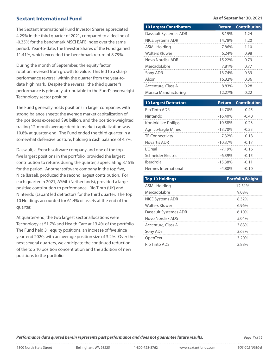# **Sextant International Fund**

The Sextant International Fund Investor Shares appreciated 4.29% in the third quarter of 2021, compared to a decline of -0.35% for the benchmark MSCI EAFE Index over the same period. Year-to-date, the Investor Shares of the Fund gained 11.41%, which exceeded the benchmark return of 8.79%.

During the month of September, the equity factor rotation reversed from growth to value. This led to a sharp performance reversal within the quarter from the year-todate high mark. Despite the reversal, the third quarter's performance is primarily attributable to the Fund's overweight Technology sector position.

The Fund generally holds positions in larger companies with strong balance sheets; the average market capitalization of the positions exceeded \$90 billion, and the position-weighted trailing 12-month average debt to market capitalization was 10.8% at quarter-end. The Fund ended the third quarter in a somewhat defensive posture, holding a cash balance of 4.7%.

Dassault, a French software company and one of the top five largest positions in the portfolio, provided the largest contribution to returns during the quarter, appreciating 8.15% for the period. Another software company in the top five, Nice (Israel), produced the second largest contribution. For each quarter in 2021, ASML (Netherlands), provided a large positive contribution to performance. Rio Tinto (UK) and Nintendo (Japan) led detractors for the third quarter. The Top 10 Holdings accounted for 61.4% of assets at the end of the quarter.

At quarter-end, the two largest sector allocations were Technology at 51.7% and Health Care at 13.4% of the portfolio. The Fund held 31 equity positions, an increase of five since year-end 2020, with an average position size of 3.2%. Over the next several quarters, we anticipate the continued reduction of the top 10 position concentration and the addition of new positions to the portfolio.

#### **As of September 30, 2021**

| <b>10 Largest Contributors</b> | <b>Return</b> | <b>Contribution</b> |
|--------------------------------|---------------|---------------------|
| Dassault Systemes ADR          | 8.15%         | 1.24                |
| <b>NICE Systems ADR</b>        | 14.78%        | 1.20                |
| ASML Holding                   | 7.86%         | 1.10                |
| <b>Wolters Kluwer</b>          | 6.24%         | 0.98                |
| Novo Nordisk ADR               | 15.22%        | 0.79                |
| Mercadol ibre                  | 7.81%         | 0.77                |
| Sony ADR                       | 13.74%        | 0.39                |
| Alcon                          | 16.32%        | 0.36                |
| Accenture, Class A             | 8.83%         | 0.28                |
| Murata Manufacturing           | 12.27%        | 0.22                |

| <b>10 Largest Detractors</b> | <b>Return</b> | <b>Contribution</b> |
|------------------------------|---------------|---------------------|
| Rio Tinto ADR                | $-14.70%$     | $-0.45$             |
| Nintendo                     | $-16.40%$     | $-0.40$             |
| Koninklijke Philips          | $-10.58%$     | $-0.23$             |
| Agnico-Eagle Mines           | $-13.70%$     | $-0.23$             |
| <b>TE Connectivity</b>       | $-7.32%$      | $-0.18$             |
| Novartis ADR                 | $-10.37%$     | $-0.17$             |
| l'Oreal                      | $-7.19%$      | $-0.16$             |
| Schneider Flectric           | $-6.39%$      | $-0.15$             |
| Iberdrola                    | $-15.38%$     | $-0.11$             |
| Hermes International         | $-4.80%$      | $-0.10$             |

| <b>Top 10 Holdings</b>  | <b>Portfolio Weight</b> |
|-------------------------|-------------------------|
| <b>ASML Holding</b>     | 12.31%                  |
| MercadoLibre            | 9.08%                   |
| <b>NICE Systems ADR</b> | 8.32%                   |
| <b>Wolters Kluwer</b>   | 6.96%                   |
| Dassault Systemes ADR   | $6.10\%$                |
| Novo Nordisk ADS        | 5.04%                   |
| Accenture, Class A      | 3.88%                   |
| Sony ADS                | 3.63%                   |
| OpenText                | 3.20%                   |
| Rio Tinto ADS           | 2.88%                   |

*Performance data quoted herein represents past performance and does not guarantee future results. Page 7 of 16*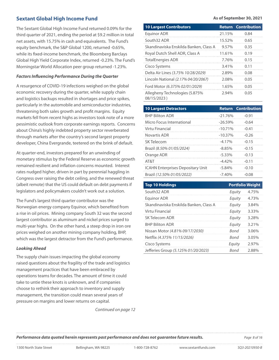# **Sextant Global High Income Fund**

The Sextant Global High Income Fund returned 0.09% for the third quarter of 2021, ending the period at \$9.2 million in total net assets, with 15.75% in cash and equivalents. The Fund's equity benchmark, the S&P Global 1200, returned -0.65%, while its fixed-income benchmark, the Bloomberg Barclays Global High Yield Corporate Index, returned -0.23%. The Fund's Morningstar World Allocation peer group returned -1.23%.

## *Factors Influencing Performance During the Quarter*

A resurgence of COVID-19 infections weighed on the global economic recovery during the quarter, while supply chain and logistics backups resulted in shortages and price spikes, particularly in the automobile and semiconductor industries, threatening both sales growth and profit margins. Equity markets fell from recent highs as investors took note of a more pessimistic outlook from corporate earnings reports. Concerns about China's highly indebted property sector reverberated through markets after the country's second largest property developer, China Evergrande, teetered on the brink of default.

At quarter-end, investors prepared for an unwinding of monetary stimulus by the Federal Reserve as economic growth remained resilient and inflation concerns mounted. Interest rates nudged higher, driven in part by perennial haggling in Congress over raising the debt ceiling, and the renewed threat (albeit remote) that the US could default on debt payments if legislators and policymakers couldn't work out a solution.

The Fund's largest third quarter contributor was the Norwegian energy company Equinor, which benefited from a rise in oil prices. Mining company South 32 was the second largest contributor as aluminum and nickel prices surged to multi-year highs. On the other hand, a steep drop in iron ore prices weighed on another mining company holding, BHP, which was the largest detractor from the Fund's performance.

### *Looking Ahead*

The supply chain issues impacting the global economy raised questions about the fragility of the trade and logistics management practices that have been embraced by operations teams for decades. The amount of time it could take to untie these knots is unknown, and if companies choose to rethink their approach to inventory and supply management, the transition could mean several years of pressure on margins and lower returns on capital.

*Continued on page 12*

**As of September 30, 2021**

| <b>10 Largest Contributors</b>                | <b>Return</b> | <b>Contribution</b> |
|-----------------------------------------------|---------------|---------------------|
| Equinor ADR                                   | 21.15%        | 0.84                |
| South 32 ADR                                  | 15.52%        | 0.65                |
| Skandinaviska Enskilda Banken, Class A        | $9.57\%$      | 0.35                |
| Royal Dutch Shell ADR, Class A                | 11.61%        | 0.19                |
| <b>TotalEnergies ADR</b>                      | 7.76%         | 0.15                |
| Cisco Systems                                 | 3.41%         | 0.11                |
| Delta Air Lines (3.75% 10/28/2029)            | 2.89%         | 0.08                |
| Lincoln National (2.17% 04/20/2067)           | 2.08%         | 0.05                |
| Ford Motor (6.375% 02/01/2029)                | 1.65%         | 0.05                |
| Allegheny Technologies (5.875%<br>08/15/2023) | 2.94%         | 0.05                |

| <b>10 Largest Detractors</b>             |            | <b>Return Contribution</b> |
|------------------------------------------|------------|----------------------------|
| <b>BHP Biliton ADR</b>                   | $-21.76%$  | $-0.91$                    |
| Micro Focus International                | $-26.59%$  | $-0.64$                    |
| Virtu Financial                          | $-10.71%$  | $-0.41$                    |
| Novartis ADR                             | $-10.37\%$ | $-0.26$                    |
| SK Telecom                               | $-4.17%$   | $-0.15$                    |
| Brazil (8.50% 01/05/2024)                | $-8.85%$   | $-0.15$                    |
| Orange ADR                               | $-5.33\%$  | $-0.13$                    |
| AT&T                                     | $-4.42%$   | $-0.11$                    |
| <b>ICAHN Enterprises Depositary Unit</b> | $-5.84%$   | $-0.10$                    |
| Brazil (12.50% 01/05/2022)               | $-7.40%$   | $-0.08$                    |

| <b>Top 10 Holdings</b>                 | <b>Portfolio Weight</b> |       |
|----------------------------------------|-------------------------|-------|
| South32 ADR                            | Equity                  | 4.75% |
| Equinor ADR                            | Equity                  | 4.73% |
| Skandinaviska Enskilda Banken, Class A | Equity                  | 3.84% |
| Virtu Financial                        | Equity                  | 3.33% |
| SK Telecom ADR                         | Equity                  | 3.28% |
| <b>BHP Biliton ADR</b>                 | Equity                  | 3.21% |
| Nissan Motor (4.81% 09/17/2030)        | Rond                    | 3.06% |
| Netflix (4.375% 11/15/2026)            | Bond                    | 3.05% |
| Cisco Systems                          | Equity                  | 2.97% |
| Jefferies Group (5.125% 01/20/2023)    | Rond                    | 288%  |

*Performance data quoted herein represents past performance and does not guarantee future results. Page 8 of 16*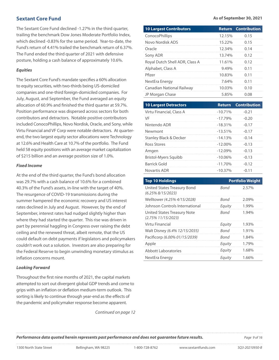# **Sextant Core Fund**

The Sextant Core Fund declined -1.27% in the third quarter, trailing the benchmark Dow Jones Moderate Portfolio Index, which declined -0.83% for the same period. Year-to-date, the Fund's return of 4.41% trailed the benchmark return of 6.37%. The Fund ended the third quarter of 2021 with defensive posture, holding a cash balance of approximately 10.6%.

# *Equities*

The Sextant Core Fund's mandate specifies a 60% allocation to equity securities, with two-thirds being US-domiciled companies and one-third foreign-domiciled companies. For July, August, and September, the Fund averaged an equity allocation of 60.9% and finished the third quarter at 59.7%. Position performance was dispersed across sectors for both contributors and detractors. Notable positive contributors included ConocoPhillips, Novo Nordisk, Oracle, and Sony, while Virtu Financial and VF Corp were notable detractors. At quarterend, the two largest equity sector allocations were Technology at 12.6% and Health Care at 10.7% of the portfolio. The Fund held 58 equity positions with an average market capitalization of \$215 billion and an average position size of 1.0%.

# *Fixed Income*

At the end of the third quarter, the Fund's bond allocation was 29.7% with a cash balance of 10.6% for a combined 40.3% of the Fund's assets, in-line with the target of 40%. The resurgence of COVID-19 transmissions during the summer hampered the economic recovery and US interest rates declined in July and August. However, by the end of September, interest rates had nudged slightly higher than where they had started the quarter. This rise was driven in part by perennial haggling in Congress over raising the debt ceiling and the renewed threat, albeit remote, that the US could default on debt payments if legislators and policymakers couldn't work out a solution. Investors are also preparing for the Federal Reserve to begin unwinding monetary stimulus as inflation concerns mount.

# *Looking Forward*

Throughout the first nine months of 2021, the capital markets attempted to sort out divergent global GDP trends and come to grips with an inflation or deflation medium-term outlook. This sorting is likely to continue through year-end as the effects of the pandemic and policymaker response become apparent.

*Continued on page 12*

#### **As of September 30, 2021**

| <b>10 Largest Contributors</b>                              | <b>Return</b> | <b>Contribution</b>     |
|-------------------------------------------------------------|---------------|-------------------------|
| ConocoPhillips                                              | 12.15%        | 0.15                    |
| Novo Nordisk ADS                                            | 15.22%        | 0.15                    |
| Oracle                                                      | 12.34%        | 0.14                    |
| Sony ADR                                                    | 13.74%        | 0.12                    |
| Royal Dutch Shell ADR, Class A                              | 11.61%        | 0.12                    |
| Alphabet, Class A                                           | 9.49%         | 0.11                    |
| Pfizer                                                      | 10.83%        | 0.11                    |
| NextEra Energy                                              | 7.64%         | 0.11                    |
| Canadian National Railway                                   | 10.03%        | 0.10                    |
| JP Morgan Chase                                             | 5.85%         | 0.08                    |
|                                                             | <b>Return</b> |                         |
| <b>10 Largest Detractors</b>                                |               | <b>Contribution</b>     |
| Virtu Financial, Class A                                    | $-10.71%$     | $-0.21$                 |
| VF                                                          | $-17.79%$     | $-0.20$                 |
| Nintendo ADR                                                | $-18.31%$     | $-0.17$                 |
| Newmont                                                     | $-13.51%$     | $-0.17$                 |
| <b>Stanley Black &amp; Decker</b>                           | $-14.13%$     | $-0.14$                 |
| <b>Ross Stores</b>                                          | $-12.00%$     | $-0.13$                 |
| Amgen                                                       | $-12.09%$     | $-0.13$                 |
| <b>Bristol-Myers Squibb</b>                                 | $-10.06%$     | $-0.13$                 |
| <b>Barrick Gold</b>                                         | $-11.70%$     | $-0.12$                 |
| <b>Novartis ADR</b>                                         | $-10.37%$     | $-0.11$                 |
| <b>Top 10 Holdings</b>                                      |               | <b>Portfolio Weight</b> |
| United States Treasury Bond                                 | Bond          | 2.57%                   |
| $(6.25\% 8/15/2023)$                                        |               |                         |
| Welltower (4.25% 4/15/2028)                                 | Bond          | 2.09%                   |
| Johnson Controls International                              | Equity        | 1.99%                   |
| <b>United States Treasury Note</b><br>$(2.75\% 11/15/2023)$ | Bond          | 1.94%                   |
| Virtu Financial                                             | Equity        | 1.93%                   |
| Walt Disney (6.4% 12/15/2035)                               | Bond          | 1.91%                   |

| Top 10 Holdings                                      |        | Portfolio Weight |
|------------------------------------------------------|--------|------------------|
| United States Treasury Bond<br>$(6.25\%8/15/2023)$   | Bond   | 2.57%            |
| Welltower (4.25% 4/15/2028)                          | Bond   | $2.09\%$         |
| Johnson Controls International                       | Equity | 1.99%            |
| United States Treasury Note<br>$(2.75\% 11/15/2023)$ | Bond   | 1.94%            |
| Virtu Financial                                      | Equity | 1.93%            |
| Walt Disney (6.4% 12/15/2035)                        | Bond   | 1.91%            |
| Pacificorp (6.00% 01/15/2039)                        | Bond   | 1.84%            |
| Apple                                                | Equity | 1.79%            |
| Abbott Laboratories                                  | Equity | 1.68%            |
| NextEra Energy                                       | Equity | 1.66%            |

*Performance data quoted herein represents past performance and does not guarantee future results. Page 9 of 16*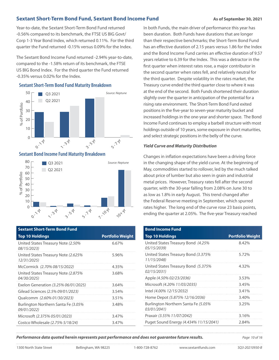# **Sextant Short-Term Bond Fund, Sextant Bond Income Fund As of September 30, 2021**

Year-to-date, the Sextant Short-Term Bond Fund returned -0.56% compared to its benchmark, the FTSE US BIG Govt/ Corp 1-3 Year Bond Index, which returned 0.11%. For the third quarter the Fund returned -0.15% versus 0.09% for the Index.

The Sextant Bond Income Fund returned -2.94% year-to-date, compared to the -1.58% return of its benchmark, the FTSE US BIG Bond Index. For the third quarter the Fund returned -0.35% versus 0.02% for the Index.

# **Sextant Short-Term Bond Fund Maturity Breakdown**



# **Sextant Bond Income Fund Maturity Breakdown**



| <b>Sextant Short-Term Bond Fund</b>                 |                         |
|-----------------------------------------------------|-------------------------|
| <b>Top 10 Holdings</b>                              | <b>Portfolio Weight</b> |
| United States Treasury Note (2.50%<br>08/15/2023)   | 6.67%                   |
| United States Treasury Note (2.625%)<br>12/31/2025) | 5.96%                   |
| McCormick (2.70% 08/15/2022)                        | 4.35%                   |
| United States Treasury Note (2.875%<br>04/30/2025)  | 3.68%                   |
| Exelon Generation (3.25% 06/01/2025)                | 3.64%                   |
| Gilead Sciences (2.5% 09/01/2023)                   | 3.54%                   |
| Oualcomm (2.60% 01/30/2023)                         | 3.51%                   |
| Burlington Northern Santa Fe (3.05%<br>09/01/2022)  | 3.48%                   |
| Microsoft (2.375% 05/01/2023)                       | 3.47%                   |
| Costco Wholesale (2.75% 5/18/24)                    | 3.47%                   |

In both Funds, the main driver of performance this year has been duration. Both Funds have durations that are longer than their respective benchmarks; the Short-Term Bond Fund has an effective duration of 2.15 years versus 1.86 for the Index and the Bond Income Fund carries an effective duration of 9.57 years relative to 6.39 for the Index. This was a detractor in the first quarter when interest rates rose, a major contributor in the second quarter when rates fell, and relatively neutral for the third quarter. Despite volatility in the rates market, the Treasury curve ended the third quarter close to where it was at the end of the second. Both Funds shortened their duration slightly over the quarter in anticipation of the potential for a rising rate environment. The Short-Term Bond Fund exited positions in the five-year to seven-year maturity bucket and increased holdings in the one-year and shorter space. The Bond Income Fund continues to employ a barbell structure with most holdings outside of 10 years, some exposure in short maturities, and select strategic positions in the belly of the curve.

# *Yield Curve and Maturity Distribution*

Changes in inflation expectations have been a driving force in the changing shape of the yield curve. At the beginning of May, commodities started to rollover, led by the much talked about price of lumber but also seen in grain and industrial metal prices. However, Treasury rates fell after the second quarter, with the 30-year falling from 2.08% on June 30 to as low as 1.8% in early August. This trend changed after the Federal Reserve meeting in September, which spurred rates higher. The long end of the curve rose 23 basis points, ending the quarter at 2.05%. The five-year Treasury reached

| <b>Bond Income Fund</b>                            |                         |
|----------------------------------------------------|-------------------------|
| <b>Top 10 Holdings</b>                             | <b>Portfolio Weight</b> |
| United States Treasury Bond (4.25%)<br>05/15/2039) | 8.42%                   |
| United States Treasury Bond (3.375%<br>11/15/2048) | 5.72%                   |
| United States Treasury Bond (5.375%<br>02/15/2031) | 4.32%                   |
| Apple (4.50% 02/23/2036)                           | 3.53%                   |
| Microsoft (4.20% 11/03/2035)                       | 3.45%                   |
| lntel (4.00% 12/15/2032)                           | 3.41%                   |
| Home Depot (5.875% 12/16/2036)                     | 3.40%                   |
| Burlington Northern Santa Fe (5.05%<br>03/01/2041) | 3.25%                   |
| Praxair (3.55% 11/07/2042)                         | 3.16%                   |
| Puget Sound Energy (4.434% 11/15/2041)             | 2.84%                   |

*Performance data quoted herein represents past performance and does not guarantee future results. Page 10 of 16*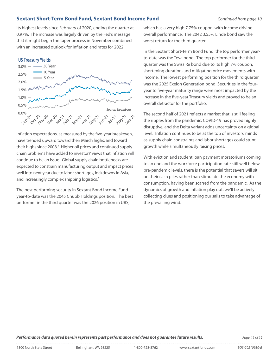# **Sextant Short-Term Bond Fund, Sextant Bond Income Fund** *Continued from page 10*

its highest levels since February of 2020, ending the quarter at 0.97%. The increase was largely driven by the Fed's message that it might begin the taper process in November combined with an increased outlook for inflation and rates for 2022.

### **US Treasury Yields**



Inflation expectations, as measured by the five-year breakeven, have trended upward toward their March highs, and toward their highs since 2008.<sup>2</sup> Higher oil prices and continued supply chain problems have added to investors' views that inflation will continue to be an issue. Global supply chain bottlenecks are expected to constrain manufacturing output and impact prices well into next year due to labor shortages, lockdowns in Asia, and increasingly complex shipping logistics.<sup>3</sup>

The best performing security in Sextant Bond Income Fund year-to-date was the 2045 Chubb Holdings position. The best performer in the third quarter was the 2026 position in UBS,

which has a very high 7.75% coupon, with income driving overall performance. The 2042 3.55% Linde bond saw the worst return for the third quarter.

In the Sextant Short-Term Bond Fund, the top performer yearto-date was the Teva bond. The top performer for the third quarter was the Swiss Re bond due to its high 7% coupon, shortening duration, and mitigating price movements with income. The lowest performing position for the third quarter was the 2025 Exelon Generation bond. Securities in the fouryear to five-year maturity range were most impacted by the increase in the five-year Treasury yields and proved to be an overall detractor for the portfolio.

The second half of 2021 reflects a market that is still feeling the ripples from the pandemic. COVID-19 has proved highly disruptive, and the Delta variant adds uncertainty on a global level. Inflation continues to be at the top of investors' minds as supply chain constraints and labor shortages could stunt growth while simultaneously raising prices.

With eviction and student loan payment moratoriums coming to an end and the workforce participation rate still well below pre-pandemic levels, there is the potential that savers will sit on their cash piles rather than stimulate the economy with consumption, having been scarred from the pandemic. As the dynamics of growth and inflation play out, we'll be actively collecting clues and positioning our sails to take advantage of the prevailing wind.

**Performance data quoted herein represents past performance and does not guarantee future results. Page 11 of 16**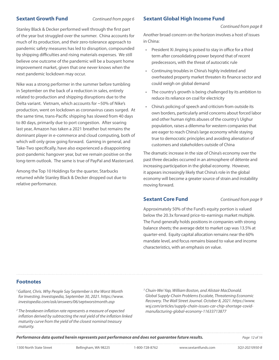# **Sextant Growth Fund** *Continued from page 6*

Stanley Black & Decker performed well through the first part of the year but struggled over the summer. China accounts for much of its production, and their zero-tolerance approach to pandemic safety measures has led to disruption, compounded by shipping difficulties and rising materials expenses. We still believe one outcome of the pandemic will be a buoyant home improvement market, given that one never knows when the next pandemic lockdown may occur.

Nike was a strong performer in the summer before tumbling in September on the back of a reduction in sales, entirely related to production and shipping disruptions due to the Delta variant. Vietnam, which accounts for ~50% of Nike's production, went on lockdown as coronavirus cases surged. At the same time, trans-Pacific shipping has slowed from 40 days to 80 days, primarily due to port congestion. After soaring last year, Amazon has taken a 2021 breather but remains the dominant player in e-commerce and cloud computing, both of which will only grow going forward. Gaming in general, and Take-Two specifically, have also experienced a disappointing post-pandemic hangover year, but we remain positive on the long-term outlook. The same is true of PayPal and Mastercard.

Among the Top 10 Holdings for the quarter, Starbucks returned while Stanley Black & Decker dropped out due to relative performance.

# **Sextant Global High Income Fund**

#### *Continued from page 8*

Another broad concern on the horizon involves a host of issues in China:

- President Xi Jinping is poised to stay in office for a third term after consolidating power beyond that of recent predecessors, with the threat of autocratic rule
- Continuing troubles in China's highly indebted and overheated property market threaten its finance sector and could weigh on global demand
- The country's growth is being challenged by its ambition to reduce its reliance on coal for electricity
- China's policing of speech and criticism from outside its own borders, particularly amid concerns about forced labor and other human rights abuses of the country's Uighur population, raises a dilemma for western companies that are eager to reach China's large economy while staying true to democratic principles and avoiding alienation of customers and stakeholders outside of China

The dramatic increase in the size of China's economy over the past three decades occurred in an atmosphere of détente and increasing participation in the global economy. However, it appears increasingly likely that China's role in the global economy will become a greater source of strain and instability moving forward.

# **Sextant Core Fund** *Continued from page 9*

Approximately 50% of the Fund's equity portion is valued below the 20.3x forward price-to-earnings market multiple. The Fund generally holds positions in companies with strong balance sheets; the average debt to market cap was 13.5% at quarter-end. Equity capital allocation remains near the 60% mandate level, and focus remains biased to value and income characteristics, with an emphasis on value.

# **Footnotes**

- *1 Gallant, Chris. Why People Say September is the Worst Month for Investing. Investopedia, September 30, 2021. https://www. investopedia.com/ask/answers/06/septworstmonth.asp*
- *2 The breakeven inflation rate represents a measure of expected inflation derived by subtracting the real yield of the inflation linked maturity curve from the yield of the closest nominal treasury maturity.*
- *3 Chuin-Wei Yap, William Boston, and Alistair MacDonald. Global Supply-Chain Problems Escalate, Threatening Economic Recovery. The Wall Street Journal. October 8, 2021. https://www. wsj.com/articles/supply-chain-issues-car-chip-shortage-covidmanufacturing-global-economy-11633713877*

**Performance data quoted herein represents past performance and does not guarantee future results.** Page 120616 Page 120616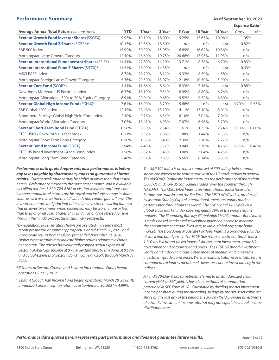# **Performance Summary Assumed Burner School September 30, 2021**

**Expense Ratio**<sup>A</sup>

| <b>Average Annual Total Returns (before taxes)</b>              | <b>YTD</b> | 1 Year   | 3 Year | 5 Year | 10 Year | 15 Year | Gross | Net   |
|-----------------------------------------------------------------|------------|----------|--------|--------|---------|---------|-------|-------|
| <b>Sextant Growth Fund Investor Shares (SSGFX)</b>              | 9.93%      | 19.10%   | 18.00% | 19.25% | 15.67%  | 10.06%  | 1.05% |       |
| <b>Sextant Growth Fund Z Shares (SGZFX)</b> <sup>8</sup>        | 10.13%     | 19.36%   | 18.30% | n/a    | n/a     | n/a     | 0.82% |       |
| S&P 500 Index                                                   | 15.92%     | 30.00%   | 15.95% | 16.89% | 16.62%  | 10.36%  | n/a   |       |
| Morningstar Large Growth Category                               | 12.40%     | 26.60%   | 19.75% | 20.68% | 17.93%  | 11.93%  | n/a   |       |
| <b>Sextant International Fund Investor Shares (SSIFX)</b>       | 11.41%     | 27.80%   | 14.10% | 13.71% | 8.78%   | 6.70%   | 0.83% |       |
| <b>Sextant International Fund Z Shares (SIFZX)</b> <sup>8</sup> | 11.54%     | 28.00%   | 14.35% | n/a    | n/a     | n/a     | 0.63% |       |
| <b>MSCI EAFE Index</b>                                          | 8.79%      | 26.29%   | 8.11%  | 9.32%  | 8.59%   | 4.58%   | n/a   |       |
| Morningstar Foreign Large Growth Category                       | 5.36%      | 20.30%   | 13.07% | 12.18% | 10.50%  | 5.90%   | n/a   |       |
| <b>Sextant Core Fund (SCORX)</b>                                | 4.41%      | 11.66%   | 8.61%  | 8.33%  | 7.16%   | n/a     | 0.88% |       |
| Dow Jones Moderate US Portfolio Index                           | 6.37%      | 18.19%   | 9.31%  | 8.95%  | 8.80%   | 6.76%   | n/a   |       |
| Morningstar Allocation - 50% to 70% Equity Category             | 8.91%      | 20.04%   | 9.65%  | 9.52%  | 9.52%   | 6.80%   | n/a   |       |
| <b>Sextant Global High Income Fund (SGHIX)<sup>C</sup></b>      | 7.64%      | 16.90%   | 3.79%  | 5.86%  | n/a     | n/a     | 0.70% | 0.55% |
| S&P Global 1200 Index                                           | 12.49%     | 28.46%   | 13.19% | 14.11% | 13.10%  | 8.01%   | n/a   |       |
| Bloomberg Barclays Global High Yield Corp Index                 | 2.40%      | 9.76%    | 6.34%  | 6.10%  | 7.04%   | 7.04%   | n/a   |       |
| Morningstar World Allocation Category                           | 7.07%      | 18.41%   | 6.93%  | 7.07%  | 6.96%   | 5.70%   | n/a   |       |
| <b>Sextant Short-Term Bond Fund (STBFX)</b>                     | $-0.56%$   | $-0.39%$ | 2.54%  | 1.61%  | 1.33%   | 2.24%   | 0.90% | 0.60% |
| FTSE USBIG Govt/Corp 1-3 Year Index                             | 0.11%      | 0.32%    | 2.86%  | 1.88%  | 1.44%   | 2.33%   | n/a   |       |
| Morningstar Short-Term Bond Category                            | 0.50%      | 1.63%    | 3.40%  | 2.39%  | 2.10%   | 2.77%   | n/a   |       |
| <b>Sextant Bond Income Fund (SBIFX)</b>                         | $-2.94%$   | $-2.40%$ | 5.57%  | 3.04%  | 3.30%   | 4.16%   | 0.63% | 0.48% |
| FTSE US Broad Investment-Grade Bond Index                       | $-1.58%$   | $-0.82%$ | 5.45%  | 3.00%  | 3.04%   | 4.25%   | n/a   |       |
| Morningstar Long-Term Bond Category                             | $-2.48%$   | 0.92%    | 9.93%  | 5.66%  | 6.14%   | 6.83%   | n/a   |       |

*Performance data quoted represents past performance, is before any taxes payable by shareowners, and is no guarantee of future results. Current performance may be higher or lower than that stated herein. Performance current to the most recent month-end is available by calling toll-free 1-800-728-8762 or visiting www.sextantfunds.com. Average annual total returns are historical and include change in share value as well as reinvestment of dividends and capital gains, if any. The* 

*investment return and principal value of an investment will fluctuate so that an investor's shares, when redeemed, may be worth more or less than their original cost. Shares of a Fund may only be offered for sale through the Fund's prospectus or summary prospectus.*

- *A By regulation, expense ratios shown are as stated in a Fund's most recent prospectus or summary prospectus, dated March 30, 2021, and incorporate results from the fiscal year ended November 30, 2020. Higher expense ratios may indicate higher returns relative to a Fund's benchmark. The adviser has voluntarily capped actual expenses of Sextant Global High Income at 0.75%, Sextant Short-Term Bond at 0.60% and actual expenses of Sextant Bond Income at 0.65% through March 31, 2022.*
- *B* Z Shares of Sextant Growth and Sextant International Funds began *operations June 2, 2017.*
- *C Sextant Global High Income Fund began operations March 30, 2012. Its annualized since inception return as of September 30, 2021 is 4.99%.*

*The S&P 500 Index is an index comprised of 500 widely held common stocks considered to be representative of the US stock market in general. The NASDAQ Composite Index measures the performance of more than 5,000 US and non-US companies traded "over the counter" through NASDAQ. The MSCI EAFE Index is an international index focused on Europe, Australasia, and the Far East. The MSCI ACWI Index, produced by Morgan Stanley Capital International, measures equity market performance throughout the world. The S&P Global 1200 Index is a global stock market index covering nearly 70% of the world's equity markets. The Bloomberg Barclays Global High Yield Corporate Bond Index is a rules-based, market-value weighted index engineered to measure the non-investment grade, fixed-rate, taxable, global corporate bond market. The Dow Jones Moderate Portfolio Index is a broad-based index of stock and bond prices. The FTSE Gov./Corp. Investment Grade Index 1-3 Years is a broad-based index of shorter-term investment-grade US government and corporate bond prices. The FTSE US Broad Investment-Grade Bond Index is a broad-based index of medium and long-term investment-grade bond prices. When available, Saturna uses total return components of indices mentioned. Investors cannot invest directly in the indices.*

*A Fund's 30-Day Yield, sometimes referred to as standardized yield, current yield, or SEC yield, is based on methods of computation prescribed in SEC Form N-1A. Calculated by dividing the net investment income per share during the preceding 30 days by the net asset value per share on the last day of the period, the 30-Day Yield provides an estimate of a Fund's investment income rate, but may not equal the actual income distribution rate.*

**Performance data quoted herein represents past performance and does not guarantee future results.** Page 13 of 16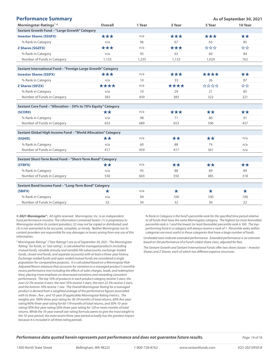| <b>Performance Summary</b>                                    |            |        |            | As of September 30, 2021 |         |  |
|---------------------------------------------------------------|------------|--------|------------|--------------------------|---------|--|
| Morningstar Ratings™ <sup>A</sup>                             | Overall    | 1 Year | 3 Year     | 5 Year                   | 10 Year |  |
| Sextant Growth Fund - "Large Growth" Category                 |            |        |            |                          |         |  |
| <b>Investor Shares (SSGFX)</b>                                | ***        | n/a    | ***        | ***                      | **      |  |
| % Rank in Category                                            | n/a        | 96     | 67         | 63                       | 85      |  |
| <b>Z Shares (SGZFX)</b>                                       | ***        | n/a    | ***        | ***                      | ☆☆      |  |
| % Rank in Category                                            | n/a        | 95     | 63         | 60                       | 84      |  |
| Number of Funds in Category                                   | 1,133      | 1,235  | 1,133      | 1,024                    | 762     |  |
| Sextant International Fund - "Foreign Large Growth" Category  |            |        |            |                          |         |  |
| <b>Investor Shares (SSIFX)</b>                                | ***        | n/a    | ***        | ****                     | **      |  |
| % Rank in Category                                            | n/a        | 10     | 33         | 26                       | 87      |  |
| <b>Z Shares (SIFZX)</b>                                       | ****       | n/a    | ****       | ****                     | ☆☆      |  |
| % Rank in Category                                            | n/a        | 10     | 29         | 21                       | 85      |  |
| Number of Funds in Category                                   | 383        | 439    | 383        | 322                      | 221     |  |
| Sextant Core Fund - "Allocation - 50% to 70% Equity" Category |            |        |            |                          |         |  |
| (SCORX)                                                       | **         | n/a    | ***        | $\star\star$             | **      |  |
| % Rank in Category                                            | n/a        | 98     | 71         | 80                       | 91      |  |
| Number of Funds in Category                                   | 653        | 689    | 653        | 596                      | 427     |  |
| Sextant Global High Income Fund - "World Allocation" Category |            |        |            |                          |         |  |
| (SGHIX)                                                       | **         | n/a    | **         | **                       | n/a     |  |
| % Rank in Category                                            | n/a        | 60     | 88         | 74                       | n/a     |  |
| Number of Funds in Category                                   | 417        | 459    | 417        | 361                      | n/a     |  |
| Sextant Short-Term Bond Fund - "Short-Term Bond" Category     |            |        |            |                          |         |  |
| (STBFX)                                                       | **         | n/a    | **         | **                       | **      |  |
| % Rank in Category                                            | n/a        | 93     | 88         | 89                       | 89      |  |
| Number of Eunde in Catogony                                   | $E E \cap$ | 602    | $E E \cap$ | AOC                      | 210     |  |

| <b>NUTTIVEL OF FUTION IT CALCUOLY</b>                | occ | oup | ור ר | 40. | 3 I O |  |  |
|------------------------------------------------------|-----|-----|------|-----|-------|--|--|
|                                                      |     |     |      |     |       |  |  |
| Sextant Bond Income Fund - "Long-Term Bond" Category |     |     |      |     |       |  |  |
| (SBIFX)                                              |     | n/a |      |     |       |  |  |
| % Rank in Category                                   | n/a | 94  | 100  |     | 100   |  |  |
| Number of Funds in Category                          |     | 34  |      |     |       |  |  |

*© 2021 Morningstar®. All rights reserved. Morningstar, Inc. is an independent fund performance monitor. The information contained herein: (1) is proprietary to Morningstar and/or its content providers; (2) may not be copied or distributed; and (3) is not warranted to be accurate, complete, or timely. Neither Morningstar nor its content providers are responsible for any damages or losses arising from any use of this information.*

*<sup>A</sup> Morningstar Ratings™ ("Star Ratings") are as of September 30, 2021. The Morningstar Rating™ for funds, or "star rating", is calculated for managed products (including mutual funds, variable annuity and variable life subaccounts, exchange-traded funds, closed-end funds, and separate accounts) with at least a three-year history. Exchange-traded funds and open-ended mutual funds are considered a single population for comparative purposes. It is calculated based on a Morningstar Risk-Adjusted Return measure that accounts for variation in a managed product's monthly excess performance (not including the effects of sales charges, loads, and redemption fees), placing more emphasis on downward variations and rewarding consistent performance. The top 10% of products in each product category receive 5 stars, the next 22.5% receive 4 stars, the next 35% receive 3 stars, the next 22.5% receive 2 stars, and the bottom 10% receive 1 star. The Overall Morningstar Rating for a managed product is derived from a weighted average of the performance figures associated with its three-, five-, and 10-year (if applicable) Morningstar Rating metrics. The weights are: 100% three-year rating for 36-59 months of total returns, 60% five-year rating/40% three-year rating for 60-119 months of total returns, and 50% 10-year rating/30% five-year rating/20% three-year rating for 120 or more months of total returns. While the 10-year overall star rating formula seems to give the most weight to the 10-year period, the most recent three-year period actually has the greatest impact because it is included in all three rating periods.*

*% Rank in Category is the fund's percentile rank for the specified time period relative to all funds that have the same Morningstar category. The highest (or most favorable) percentile rank is 1 and the lowest (or least favorable) percentile rank is 100. The topperforming fund in a category will always receive a rank of 1. Percentile ranks within categories are most useful in those categories that have a large number of funds.*

*Unshaded stars indicate extended performance. Extended performance is an estimate based on the performance of a Fund's oldest share class, adjusted for fees.*

*The Sextant Growth and Sextant International Funds offer two share classes – Investor Shares and Z Shares, each of which has different expense structures.* 

#### **Performance data quoted herein represents past performance and does not guarantee future results.** Page 14 of 16 16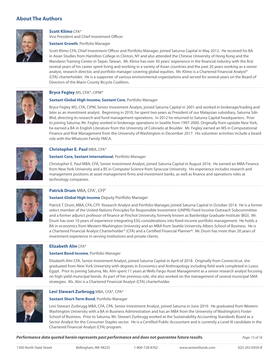# **About The Authors**



**Scott Klimo** CFA®

Vice President and Chief Investment Officer

#### **Sextant Growth**, Portfolio Manager

Scott Klimo CFA, Chief Investment Officer and Portfolio Manager, joined Saturna Capital in May 2012. He received his BA in Asian Studies from Hamilton College in Clinton, NY and also attended the Chinese University of Hong Kong and the Mandarin Training Center in Taipei, Taiwan. Mr. Klimo has over 30 years' experience in the financial industry with the first several years of his career spent living and working in a variety of Asian countries and the past 20 years working as a senior analyst, research director, and portfolio manager covering global equities. Mr. Klimo is a Chartered Financial Analyst® (CFA) charterholder. He is a supporter of various environmental organizations and served for several years on the Board of Directors of the Marin County Bicycle Coalition.



#### **Sextant Global High Income, Sextant Core**, Portfolio Manager

Bryce Fegley MS, CFA, CIPM, Senior Investment Analyst, joined Saturna Capital in 2001 and worked in brokerage/trading and later as an investment analyst. Beginning in 2010, he spent two years as President of our Malaysian subsidiary, Saturna Sdn Bhd, directing its research and fund management operations. In 2012 he returned to Saturna Capital headquarters. Prior to joining Saturna, Mr. Fegley worked in brokerage operations in Seattle from 1997-2000. Originally from upstate New York, he earned a BA in English Literature from the University of Colorado at Boulder. Mr. Fegley earned an MS in Computational Finance and Risk Management from the University of Washington in December 2017. His volunteer activities include a board role with the Whatcom Family YMCA.



# **Christopher E. Paul** MBA, CFA®

#### **Sextant Core, Sextant International**, Portfolio Manager

Christopher E. Paul MBA, CFA, Senior Investment Analyst, joined Saturna Capital in August 2016. He earned an MBA Finance from New York University and a BS in Computer Science from Syracuse University. His experience includes research and management positions at asset management firms and investment banks, as well as finance and operations roles at technology companies.



# Patrick Drum MBA, CFA®, CFP®

**Sextant Global High Income** Deputy Portfolio Manager

Patrick T. Drum, MBA, CFA, CFP, Research Analyst and Portfolio Manager, joined Saturna Capital in October 2014. He is a former select member of the United Nations Principles for Responsible Investment (UNPRI) Fixed Income Outreach Subcommittee and a former adjunct professor of finance at Pinchot University, formerly known as Bainbridge Graduate Institute (BGI). Mr. Drum has over 10 years of experience integrating ESG considerations into fixed-income portfolio management. He holds a BA in economics from Western Washington University and an MBA from Seattle University Albers School of Business. He is a Chartered Financial Analyst Charterholder® (CFA) and a Certified Financial Planner®. Mr. Drum has more than 20 years of investment experience in serving institutions and private clients.



### **Elizabeth Alm** CFA®

#### **Sextant Bond Income**, Portfolio Manager

Elizabeth Alm CFA, Senior Investment Analyst, joined Saturna Capital in April of 2018. Originally from Connecticut, she graduated from New York University with degrees in Economics and Anthropology including field work completed in Luxor, Egypt. Prior to joining Saturna, Ms. Alm spent 11 years at Wells Fargo Asset Management as a senior research analyst focusing on high-yield municipal bonds. As part of her previous role, she also worked on the management of several municipal SMA strategies. Ms. Alm is a Chartered Financial Analyst (CFA) charterholder.



# **Levi Stewart Zurbrugg** MBA, CFA®, CPA®

#### **Sextant Short-Term Bond**, Portfolio Manager

Levi Stewart Zurbrugg MBA, CFA, CPA, Senior Investment Analyst, joined Saturna in June 2019. He graduated from Western Washington University with a BA in Business Administration and has an MBA from the University of Washington's Foster School of Business. Prior to Saturna, Mr. Stewart Zurbrugg worked at the Sustainability Accounting Standards Board as a Sector Analyst for the Consumer Staples sector. He is a Certified Public Accountant and is currently a Level III candidate in the Chartered Financial Analyst (CFA) program.

**Performance data quoted herein represents past performance and does not guarantee future results.** Page 15 of 16 16